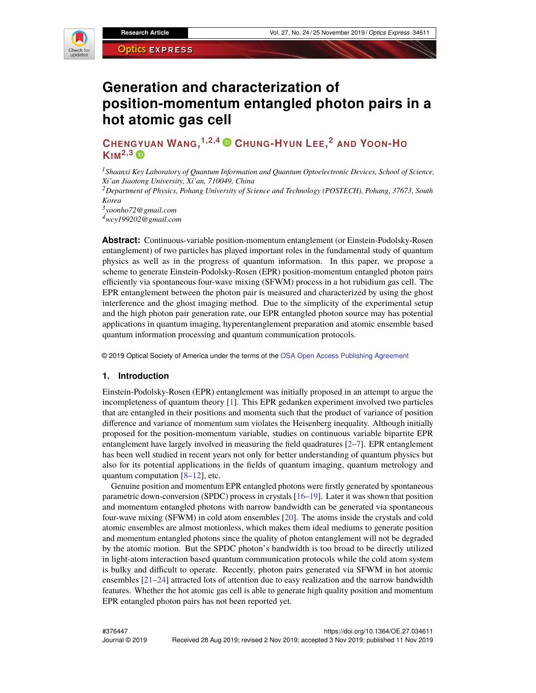

# **Generation and characterization of position-momentum entangled photon pairs in a hot atomic gas cell**

## **CHEN[GYU](https://orcid.org/0000-0002-1424-3359)AN WANG, 1,2,4 CHUNG-HYUN LEE, <sup>2</sup> AND YOON-H<sup>O</sup>**  $K$ IM<sup>2,3</sup> $\oplus$

*<sup>1</sup>Shaanxi Key Laboratory of Quantum Information and Quantum Optoelectronic Devices, School of Science, Xi'an Jiaotong University, Xi'an, 710049, China*

*<sup>2</sup>Department of Physics, Pohang University of Science and Technology (POSTECH), Pohang, 37673, South Korea*

*3 yoonho72@gmail.com <sup>4</sup>wcy199202@gmail.com*

**Abstract:** Continuous-variable position-momentum entanglement (or Einstein-Podolsky-Rosen entanglement) of two particles has played important roles in the fundamental study of quantum physics as well as in the progress of quantum information. In this paper, we propose a scheme to generate Einstein-Podolsky-Rosen (EPR) position-momentum entangled photon pairs efficiently via spontaneous four-wave mixing (SFWM) process in a hot rubidium gas cell. The EPR entanglement between the photon pair is measured and characterized by using the ghost interference and the ghost imaging method. Due to the simplicity of the experimental setup and the high photon pair generation rate, our EPR entangled photon source may has potential applications in quantum imaging, hyperentanglement preparation and atomic ensemble based quantum information processing and quantum communication protocols.

© 2019 Optical Society of America under the terms of the [OSA Open Access Publishing Agreement](https://doi.org/10.1364/OA_License_v1)

#### **1. Introduction**

Einstein-Podolsky-Rosen (EPR) entanglement was initially proposed in an attempt to argue the incompleteness of quantum theory [\[1\]](#page-5-0). This EPR gedanken experiment involved two particles that are entangled in their positions and momenta such that the product of variance of position difference and variance of momentum sum violates the Heisenberg inequality. Although initially proposed for the position-momentum variable, studies on continuous variable bipartite EPR entanglement have largely involved in measuring the field quadratures  $[2-7]$  $[2-7]$ . EPR entanglement has been well studied in recent years not only for better understanding of quantum physics but also for its potential applications in the fields of quantum imaging, quantum metrology and quantum computation [\[8–](#page-5-3)[12\]](#page-5-4), etc.

Genuine position and momentum EPR entangled photons were firstly generated by spontaneous parametric down-conversion (SPDC) process in crystals [\[16–](#page-5-5)[19\]](#page-5-6). Later it was shown that position and momentum entangled photons with narrow bandwidth can be generated via spontaneous four-wave mixing (SFWM) in cold atom ensembles [\[20\]](#page-5-7). The atoms inside the crystals and cold atomic ensembles are almost motionless, which makes them ideal mediums to generate position and momentum entangled photons since the quality of photon entanglement will not be degraded by the atomic motion. But the SPDC photon's bandwidth is too broad to be directly utilized in light-atom interaction based quantum communication protocols while the cold atom system is bulky and difficult to operate. Recently, photon pairs generated via SFWM in hot atomic ensembles  $[21-24]$  $[21-24]$  attracted lots of attention due to easy realization and the narrow bandwidth features. Whether the hot atomic gas cell is able to generate high quality position and momentum EPR entangled photon pairs has not been reported yet.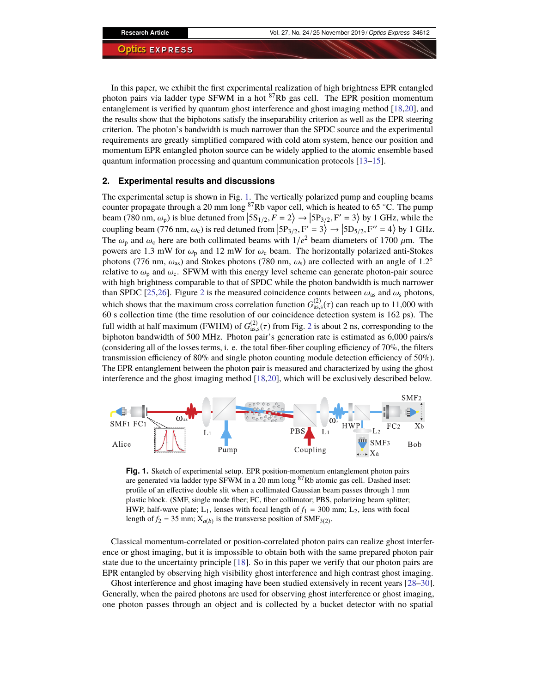In this paper, we exhibit the first experimental realization of high brightness EPR entangled photon pairs via ladder type SFWM in a hot  ${}^{87}$ Rb gas cell. The EPR position momentum entanglement is verified by quantum ghost interference and ghost imaging method [\[18](#page-5-10)[,20\]](#page-5-7), and the results show that the biphotons satisfy the inseparability criterion as well as the EPR steering criterion. The photon's bandwidth is much narrower than the SPDC source and the experimental requirements are greatly simplified compared with cold atom system, hence our position and momentum EPR entangled photon source can be widely applied to the atomic ensemble based quantum information processing and quantum communication protocols [\[13](#page-5-11)[–15\]](#page-5-12).

#### <span id="page-1-1"></span>**2. Experimental results and discussions**

The experimental setup is shown in Fig. [1.](#page-1-0) The vertically polarized pump and coupling beams counter propagate through a 20 mm long  ${}^{87}$ Rb vapor cell, which is heated to 65 °C. The pump beam (780 nm,  $\omega_p$ ) is blue detuned from  $\left[5S_{1/2}, F = 2\right) \rightarrow \left[5P_{3/2}, F' = 3\right]$  by 1 GHz, while the coupling beam (776 nm,  $\omega_c$ ) is red detuned from  $\left|5P_{3/2}, F' = 3\right\rangle \rightarrow \left|5D_{5/2}, F'' = 4\right\rangle$  by 1 GHz. The  $\omega_p$  and  $\omega_c$  here are both collimated beams with  $1/e^2$  beam diameters of 1700  $\mu$ m. The powers are 1.3 mW for  $\omega$ , and 12 mW for  $\omega$ , beam. The porizontally polarized anti-Stokes powers are 1.3 mW for  $\omega_p$  and 12 mW for  $\omega_c$  beam. The horizontally polarized anti-Stokes photons (776 nm,  $\omega_{\rm as}$ ) and Stokes photons (780 nm,  $\omega_{\rm s}$ ) are collected with an angle of 1.2° relative to  $\omega_p$  and  $\omega_c$ . SFWM with this energy level scheme can generate photon-pair source with high brightness comparable to that of SPDC while the photon bandwidth is much narrower than SPDC [\[25](#page-5-13)[,26\]](#page-5-14). Figure [2](#page-2-0) is the measured coincidence counts between  $\omega_{\rm as}$  and  $\omega_{\rm s}$  photons, which shows that the maximum cross correlation function  $G_{\text{as},\text{s}}^{(2)}(\tau)$  can reach up to 11,000 with 60 s collection time (the time resolution of our coincidence detection system is 162 ps). The 60 s collection time (the time resolution of our coincidence detection system is 162 ps). The full width at half maximum (FWHM) of  $G_{\text{as},s}^{(2)}(\tau)$  $G_{\text{as},s}^{(2)}(\tau)$  $G_{\text{as},s}^{(2)}(\tau)$  from Fig. 2 is about 2 ns, corresponding to the binhoton bandwidth of 500 MHz. Photon pair's generation rate is estimated as 6.000 pairs/s biphoton bandwidth of 500 MHz. Photon pair's generation rate is estimated as 6,000 pairs/s (considering all of the losses terms, i. e. the total fiber-fiber coupling efficiency of 70%, the filters transmission efficiency of 80% and single photon counting module detection efficiency of 50%). The EPR entanglement between the photon pair is measured and characterized by using the ghost interference and the ghost imaging method [\[18,](#page-5-10)[20\]](#page-5-7), which will be exclusively described below.



<span id="page-1-0"></span>**Fig. 1.** Sketch of experimental setup. EPR position-momentum entanglement photon pairs are generated via ladder type SFWM in a 20 mm long <sup>87</sup>Rb atomic gas cell. Dashed inset: profile of an effective double slit when a collimated Gaussian beam passes through 1 mm plastic block. (SMF, single mode fiber; FC, fiber collimator; PBS, polarizing beam splitter; HWP, half-wave plate;  $L_1$ , lenses with focal length of  $f_1 = 300$  mm;  $L_2$ , lens with focal length of  $f_2 = 35$  mm;  $X_{a(b)}$  is the transverse position of  $\text{SMF}_{3(2)}$ .

Classical momentum-correlated or position-correlated photon pairs can realize ghost interference or ghost imaging, but it is impossible to obtain both with the same prepared photon pair state due to the uncertainty principle [\[18\]](#page-5-10). So in this paper we verify that our photon pairs are EPR entangled by observing high visibility ghost interference and high contrast ghost imaging.

Ghost interference and ghost imaging have been studied extensively in recent years [\[28–](#page-5-15)[30\]](#page-5-16). Generally, when the paired photons are used for observing ghost interference or ghost imaging, one photon passes through an object and is collected by a bucket detector with no spatial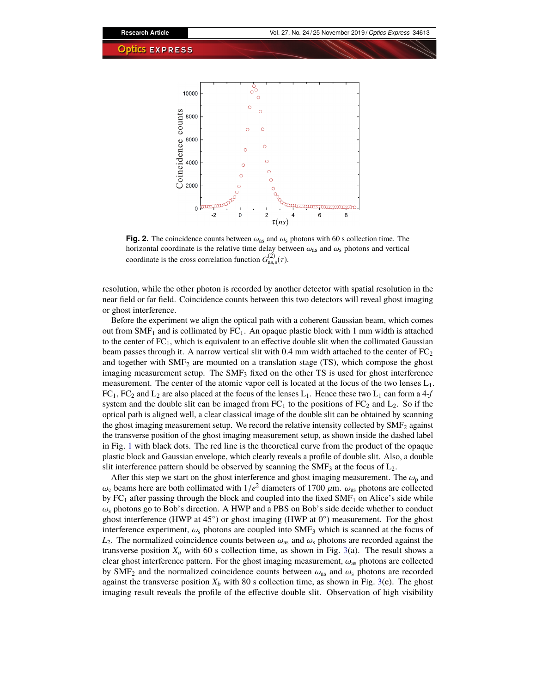

<span id="page-2-0"></span>**Fig. 2.** The coincidence counts between  $\omega_{\text{as}}$  and  $\omega_{\text{s}}$  photons with 60 s collection time. The horizontal coordinate is the relative time delay between  $\omega_{\text{as}}$  and  $\omega_{\text{s}}$  photons and vertical coordinate is the cross correlation function  $G_{\text{as,s}}^{(2)}(\tau)$ .

resolution, while the other photon is recorded by another detector with spatial resolution in the near field or far field. Coincidence counts between this two detectors will reveal ghost imaging or ghost interference.

Before the experiment we align the optical path with a coherent Gaussian beam, which comes out from  $SMF_1$  and is collimated by  $FC_1$ . An opaque plastic block with 1 mm width is attached to the center of  $FC_1$ , which is equivalent to an effective double slit when the collimated Gaussian beam passes through it. A narrow vertical slit with 0.4 mm width attached to the center of  $FC_2$ and together with  $\text{SMF}_2$  are mounted on a translation stage (TS), which compose the ghost imaging measurement setup. The  $SMF<sub>3</sub>$  fixed on the other TS is used for ghost interference measurement. The center of the atomic vapor cell is located at the focus of the two lenses  $L_1$ .  $FC_1$ ,  $FC_2$  and  $L_2$  are also placed at the focus of the lenses  $L_1$ . Hence these two  $L_1$  can form a  $4-f$ system and the double slit can be imaged from  $FC_1$  to the positions of  $FC_2$  and  $L_2$ . So if the optical path is aligned well, a clear classical image of the double slit can be obtained by scanning the ghost imaging measurement setup. We record the relative intensity collected by  $\text{SMF}_2$  against the transverse position of the ghost imaging measurement setup, as shown inside the dashed label in Fig. [1](#page-1-0) with black dots. The red line is the theoretical curve from the product of the opaque plastic block and Gaussian envelope, which clearly reveals a profile of double slit. Also, a double slit interference pattern should be observed by scanning the  $\text{SMF}_3$  at the focus of  $\text{L}_2$ .

After this step we start on the ghost interference and ghost imaging measurement. The  $\omega_p$  and  $\omega_c$  beams here are both collimated with  $1/e^2$  diameters of 1700  $\mu$ m.  $\omega_{as}$  photons are collected by EC, after passing through the block and coupled into the fixed SME, on Alice's side while by  $FC_1$  after passing through the block and coupled into the fixed SMF<sub>1</sub> on Alice's side while  $\omega_s$  photons go to Bob's direction. A HWP and a PBS on Bob's side decide whether to conduct ghost interference (HWP at 45<sup>°</sup>) or ghost imaging (HWP at 0<sup>°</sup>) measurement. For the ghost interference experiment,  $\omega_s$  photons are coupled into SMF<sub>3</sub> which is scanned at the focus of  $L_2$ . The normalized coincidence counts between  $\omega_{\text{as}}$  and  $\omega_{\text{s}}$  photons are recorded against the transverse position  $X_a$  with 60 s collection time, as shown in Fig. [3\(](#page-3-0)a). The result shows a clear ghost interference pattern. For the ghost imaging measurement,  $\omega_{\rm as}$  photons are collected by SMF<sub>2</sub> and the normalized coincidence counts between  $\omega_{\text{as}}$  and  $\omega_{\text{s}}$  photons are recorded against the transverse position  $X_b$  with 80 s collection time, as shown in Fig. [3\(](#page-3-0)e). The ghost imaging result reveals the profile of the effective double slit. Observation of high visibility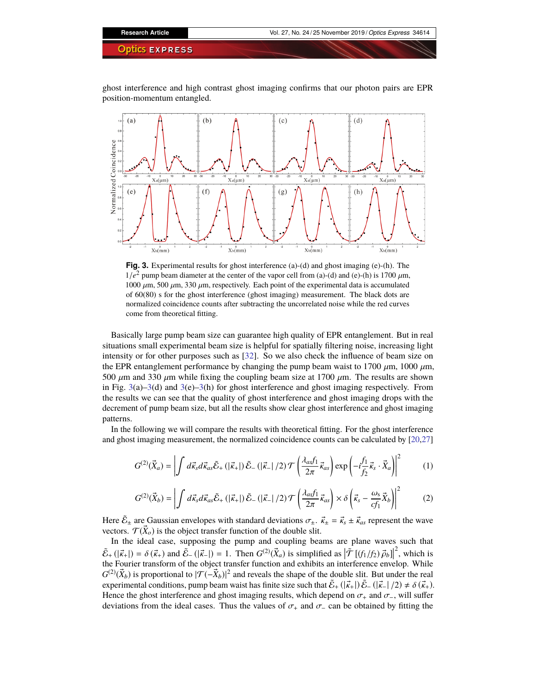ghost interference and high contrast ghost imaging confirms that our photon pairs are EPR position-momentum entangled.



<span id="page-3-0"></span>**Fig. 3.** Experimental results for ghost interference (a)-(d) and ghost imaging (e)-(h). The  $1/e^2$  pump beam diameter at the center of the vapor cell from (a)-(d) and (e)-(h) is 1700  $\mu$ m, 1000  $\mu$ m, 230  $\mu$ m respectively. Each point of the experimental data is accumulated 1000  $\mu$ m, 500  $\mu$ m, 330  $\mu$ m, respectively. Each point of the experimental data is accumulated of 60(80) s for the ghost interference (ghost imaging) measurement. The black dots are normalized coincidence counts after subtracting the uncorrelated noise while the red curves come from theoretical fitting.

Basically large pump beam size can guarantee high quality of EPR entanglement. But in real situations small experimental beam size is helpful for spatially filtering noise, increasing light intensity or for other purposes such as [\[32\]](#page-6-0). So we also check the influence of beam size on the EPR entanglement performance by changing the pump beam waist to 1700  $\mu$ m, 1000  $\mu$ m, 500  $\mu$ m and 330  $\mu$ m while fixing the coupling beam size at 1700  $\mu$ m. The results are shown in Fig. [3\(](#page-3-0)a)[–3\(](#page-3-0)d) and 3(e)–3(h) for ghost interference and ghost imaging respectively. From the results we can see that the quality of ghost interference and ghost imaging drops with the decrement of pump beam size, but all the results show clear ghost interference and ghost imaging patterns.

In the following we will compare the results with theoretical fitting. For the ghost interference and ghost imaging measurement, the normalized coincidence counts can be calculated by [\[20,](#page-5-7)[27\]](#page-5-17)

$$
G^{(2)}(\vec{X}_a) = \left| \int d\vec{\kappa}_s d\vec{\kappa}_{as} \tilde{\mathcal{E}}_+ \left( |\vec{\kappa}_+| \right) \tilde{\mathcal{E}}_- \left( |\vec{\kappa}_-| / 2 \right) \mathcal{T} \left( \frac{\lambda_{as} f_1}{2\pi} \vec{\kappa}_{as} \right) \exp \left( -i \frac{f_1}{f_2} \vec{\kappa}_s \cdot \vec{X}_a \right) \right|^2 \tag{1}
$$

$$
G^{(2)}(\vec{X}_b) = \left| \int d\vec{\kappa}_s d\vec{\kappa}_{as} \tilde{\mathcal{E}}_+ \left( |\vec{\kappa}_+| \right) \tilde{\mathcal{E}}_- \left( |\vec{\kappa}_-| / 2 \right) \mathcal{T} \left( \frac{\lambda_{as} f_1}{2\pi} \vec{\kappa}_{as} \right) \times \delta \left( \vec{\kappa}_s - \frac{\omega_s}{c f_1} \vec{X}_b \right) \right|^2 \tag{2}
$$

Here  $\tilde{\mathcal{E}}_{\pm}$  are Gaussian envelopes with standard deviations  $\sigma_{\pm}$ .  $\vec{\kappa}_{\pm} = \vec{\kappa}_{s} \pm \vec{\kappa}_{as}$  represent the wave vectors  $\mathcal{T}(\vec{X})$  is the object transfer function of the double slit vectors.  $\mathcal{T}(\vec{X}_o)$  is the object transfer function of the double slit.

In the ideal case, supposing the pump and coupling beams are plane waves such that  $\tilde{\mathcal{E}}_+ (\vert \vec{k}_\pm \vert) = \delta(\vec{k}_+)$  and  $\tilde{\mathcal{E}}_-(\vert \vec{k}_\pm \vert) = 1$ . Then  $G^{(2)}(\vec{X}_a)$  is simplified as  $\vert \tilde{\mathcal{T}}[(f_1/f_2) \vec{\rho}_b] \vert^2$ , which is the Fourier transform of the object transfer function and exhibits an interf the Fourier transform of the object transfer function and exhibits an interference envelop. While  $G^{(2)}(\vec{X}_b)$  is proportional to  $|\mathcal{T}(-\vec{X}_b)|^2$  and reveals the shape of the double slit. But under the real experimental conditions, pump beam waist has finite size such that  $\tilde{E}_+(|\vec{k}_+|) \tilde{E}_-(|\vec{k}_-|/2) \neq \delta(\vec{k}_+)$ .<br>Hence the ghost interference and ghost imaging results, which depend on  $\sigma$ , and  $\sigma$ , will suffer Hence the ghost interference and ghost imaging results, which depend on  $\sigma_+$  and  $\sigma_-$ , will suffer deviations from the ideal cases. Thus the values of  $\sigma_{+}$  and  $\sigma_{-}$  can be obtained by fitting the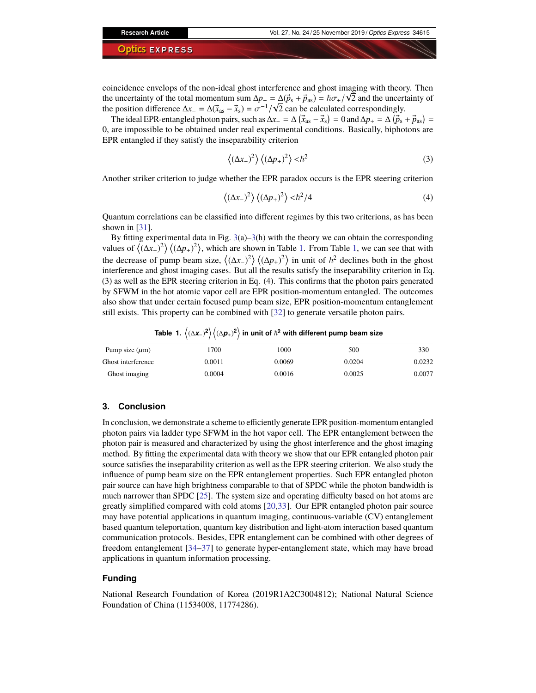coincidence envelops of the non-ideal ghost interference and ghost imaging with theory. Then √ the uncertainty of the total momentum sum  $\Delta p_+ = \Delta (\vec{p}_s + \vec{p}_{as}) = \hbar \sigma_+ / \sqrt{2}$  and the uncertainty of the position difference  $\Delta x = \Delta (\vec{x} - \vec{x}) = \sigma_-^{-1} / \sqrt{2}$  can be calculated correspondingly the position difference  $\Delta x = \Delta(\vec{x}_{as} - \vec{x}_s) = \sigma^{-1}/\sqrt{2}$  can be calculated correspondingly.<br>The ideal EPR-entangled photon pairs, such as  $\Delta x = \Delta(\vec{x} - \vec{x}) = 0$  and  $\Delta x = \Delta(\vec{p})$ .

The ideal EPR-entangled photon pairs, such as  $\Delta x_ - = \Delta (\vec{x}_{as} - \vec{x}_s) = 0$  and  $\Delta p_ + = \Delta (\vec{p}_s + \vec{p}_{as}) = 0$ 0, are impossible to be obtained under real experimental conditions. Basically, biphotons are EPR entangled if they satisfy the inseparability criterion

$$
\left\langle (\Delta x_{-})^2 \right\rangle \left\langle (\Delta p_{+})^2 \right\rangle < \hbar^2
$$
 (3)

Another striker criterion to judge whether the EPR paradox occurs is the EPR steering criterion

$$
\left\langle (\Delta x_{-})^2 \right\rangle \left\langle (\Delta p_{+})^2 \right\rangle < \hbar^2 / 4 \tag{4}
$$

Quantum correlations can be classified into different regimes by this two criterions, as has been shown in [\[31\]](#page-6-1).

By fitting experimental data in Fig.  $3(a) - 3(h)$  $3(a) - 3(h)$  with the theory we can obtain the corresponding values of  $\langle (\Delta x_-)^2 \rangle \langle (\Delta p_+)^2 \rangle$ , which are shown in Table [1.](#page-4-0) From Table [1,](#page-1-1) we can see that with the decrease of pump beam size,  $\langle (\Delta x_{-})^2 \rangle \langle (\Delta p_{+})^2 \rangle$  in unit of  $\hbar^2$  declines both in the ghost interference and ghost imaging cases. But all the results satisfy the inseparability criterion in Eq. (3) as well as the EPR steering criterion in Eq. (4). This confirms that the photon pairs generated by SFWM in the hot atomic vapor cell are EPR position-momentum entangled. The outcomes also show that under certain focused pump beam size, EPR position-momentum entanglement still exists. This property can be combined with [\[32\]](#page-6-0) to generate versatile photon pairs.

Pump size  $(\mu m)$  1700 1000 500 500 330 Ghost interference  $0.0011$  0.0069 0.0204 0.0232

# <span id="page-4-0"></span> $\textsf{Table 1.}~ \bigl\langle (\Delta \bm{z}_{-})^2\bigr\rangle \bigl\langle (\Delta \bm{\rho}_{+})^2\bigr\rangle$  in unit of  $\hbar^2$  with different pump beam size

Ghost imaging 0.0004 0.0016 0.0025 0.0077

#### **3. Conclusion**

In conclusion, we demonstrate a scheme to efficiently generate EPR position-momentum entangled photon pairs via ladder type SFWM in the hot vapor cell. The EPR entanglement between the photon pair is measured and characterized by using the ghost interference and the ghost imaging method. By fitting the experimental data with theory we show that our EPR entangled photon pair source satisfies the inseparability criterion as well as the EPR steering criterion. We also study the influence of pump beam size on the EPR entanglement properties. Such EPR entangled photon pair source can have high brightness comparable to that of SPDC while the photon bandwidth is much narrower than SPDC [\[25\]](#page-5-13). The system size and operating difficulty based on hot atoms are greatly simplified compared with cold atoms [\[20](#page-5-7)[,33\]](#page-6-2). Our EPR entangled photon pair source may have potential applications in quantum imaging, continuous-variable (CV) entanglement based quantum teleportation, quantum key distribution and light-atom interaction based quantum communication protocols. Besides, EPR entanglement can be combined with other degrees of freedom entanglement [\[34](#page-6-3)[–37\]](#page-6-4) to generate hyper-entanglement state, which may have broad applications in quantum information processing.

#### **Funding**

National Research Foundation of Korea (2019R1A2C3004812); National Natural Science Foundation of China (11534008, 11774286).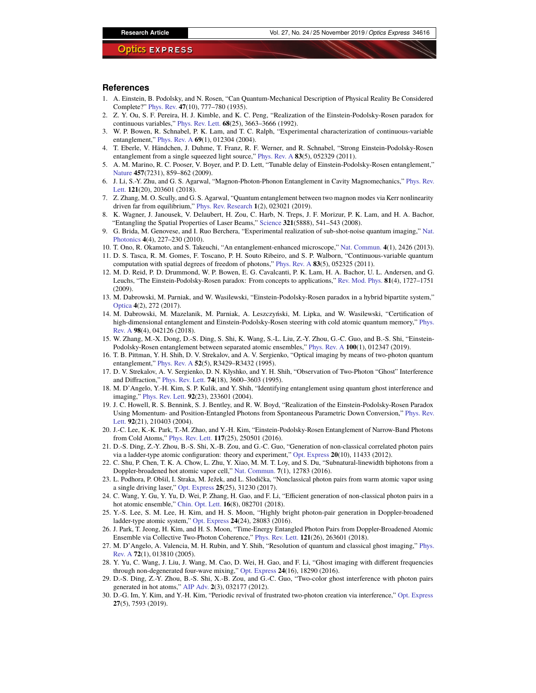#### **References**

- <span id="page-5-0"></span>1. A. Einstein, B. Podolsky, and N. Rosen, "Can Quantum-Mechanical Description of Physical Reality Be Considered Complete?" [Phys. Rev.](https://doi.org/10.1103/PhysRev.47.777) **47**(10), 777–780 (1935).
- <span id="page-5-1"></span>2. Z. Y. Ou, S. F. Pereira, H. J. Kimble, and K. C. Peng, "Realization of the Einstein-Podolsky-Rosen paradox for continuous variables," [Phys. Rev. Lett.](https://doi.org/10.1103/PhysRevLett.68.3663) **68**(25), 3663–3666 (1992).
- 3. W. P. Bowen, R. Schnabel, P. K. Lam, and T. C. Ralph, "Experimental characterization of continuous-variable entanglement," [Phys. Rev. A](https://doi.org/10.1103/PhysRevA.69.012304) **69**(1), 012304 (2004).
- 4. T. Eberle, V. Händchen, J. Duhme, T. Franz, R. F. Werner, and R. Schnabel, "Strong Einstein-Podolsky-Rosen entanglement from a single squeezed light source," [Phys. Rev. A](https://doi.org/10.1103/PhysRevA.83.052329) **83**(5), 052329 (2011).
- 5. A. M. Marino, R. C. Pooser, V. Boyer, and P. D. Lett, "Tunable delay of Einstein-Podolsky-Rosen entanglement," [Nature](https://doi.org/10.1038/nature07751) **457**(7231), 859–862 (2009).
- 6. J. Li, S.-Y. Zhu, and G. S. Agarwal, "Magnon-Photon-Phonon Entanglement in Cavity Magnomechanics," [Phys. Rev.](https://doi.org/10.1103/PhysRevLett.121.203601) [Lett.](https://doi.org/10.1103/PhysRevLett.121.203601) **121**(20), 203601 (2018).
- <span id="page-5-2"></span>7. Z. Zhang, M. O. Scully, and G. S. Agarwal, "Quantum entanglement between two magnon modes via Kerr nonlinearity driven far from equilibrium," [Phys. Rev. Research](https://doi.org/10.1103/PhysRevResearch.1.023021) **1**(2), 023021 (2019).
- <span id="page-5-3"></span>8. K. Wagner, J. Janousek, V. Delaubert, H. Zou, C. Harb, N. Treps, J. F. Morizur, P. K. Lam, and H. A. Bachor, "Entangling the Spatial Properties of Laser Beams," [Science](https://doi.org/10.1126/science.1159663) **321**(5888), 541–543 (2008).
- 9. G. Brida, M. Genovese, and I. Ruo Berchera, "Experimental realization of sub-shot-noise quantum imaging," [Nat.](https://doi.org/10.1038/nphoton.2010.29) [Photonics](https://doi.org/10.1038/nphoton.2010.29) **4**(4), 227–230 (2010).
- 10. T. Ono, R. Okamoto, and S. Takeuchi, "An entanglement-enhanced microscope," [Nat. Commun.](https://doi.org/10.1038/ncomms3426) **4**(1), 2426 (2013).
- 11. D. S. Tasca, R. M. Gomes, F. Toscano, P. H. Souto Ribeiro, and S. P. Walborn, "Continuous-variable quantum computation with spatial degrees of freedom of photons," [Phys. Rev. A](https://doi.org/10.1103/PhysRevA.83.052325) **83**(5), 052325 (2011).
- <span id="page-5-4"></span>12. M. D. Reid, P. D. Drummond, W. P. Bowen, E. G. Cavalcanti, P. K. Lam, H. A. Bachor, U. L. Andersen, and G. Leuchs, "The Einstein-Podolsky-Rosen paradox: From concepts to applications," [Rev. Mod. Phys.](https://doi.org/10.1103/RevModPhys.81.1727) **81**(4), 1727–1751 (2009).
- <span id="page-5-11"></span>13. M. Dabrowski, M. Parniak, and W. Wasilewski, "Einstein-Podolsky-Rosen paradox in a hybrid bipartite system," [Optica](https://doi.org/10.1364/OPTICA.4.000272) **4**(2), 272 (2017).
- 14. M. Dabrowski, M. Mazelanik, M. Parniak, A. Leszczyński, M. Lipka, and W. Wasilewski, "Certification of high-dimensional entanglement and Einstein-Podolsky-Rosen steering with cold atomic quantum memory," [Phys.](https://doi.org/10.1103/PhysRevA.98.042126) [Rev. A](https://doi.org/10.1103/PhysRevA.98.042126) **98**(4), 042126 (2018).
- <span id="page-5-12"></span>15. W. Zhang, M.-X. Dong, D.-S. Ding, S. Shi, K. Wang, S.-L. Liu, Z.-Y. Zhou, G.-C. Guo, and B.-S. Shi, "Einstein-Podolsky-Rosen entanglement between separated atomic ensembles," [Phys. Rev. A](https://doi.org/10.1103/PhysRevA.100.012347) **100**(1), 012347 (2019).
- <span id="page-5-5"></span>16. T. B. Pittman, Y. H. Shih, D. V. Strekalov, and A. V. Sergienko, "Optical imaging by means of two-photon quantum entanglement," [Phys. Rev. A](https://doi.org/10.1103/PhysRevA.52.R3429) **52**(5), R3429–R3432 (1995).
- 17. D. V. Strekalov, A. V. Sergienko, D. N. Klyshko, and Y. H. Shih, "Observation of Two-Photon "Ghost" Interference and Diffraction," [Phys. Rev. Lett.](https://doi.org/10.1103/PhysRevLett.74.3600) **74**(18), 3600–3603 (1995).
- <span id="page-5-10"></span>18. M. D'Angelo, Y.-H. Kim, S. P. Kulik, and Y. Shih, "Identifying entanglement using quantum ghost interference and imaging," [Phys. Rev. Lett.](https://doi.org/10.1103/PhysRevLett.92.233601) **92**(23), 233601 (2004).
- <span id="page-5-6"></span>19. J. C. Howell, R. S. Bennink, S. J. Bentley, and R. W. Boyd, "Realization of the Einstein-Podolsky-Rosen Paradox Using Momentum- and Position-Entangled Photons from Spontaneous Parametric Down Conversion," [Phys. Rev.](https://doi.org/10.1103/PhysRevLett.92.210403) [Lett.](https://doi.org/10.1103/PhysRevLett.92.210403) **92**(21), 210403 (2004).
- <span id="page-5-7"></span>20. J.-C. Lee, K.-K. Park, T.-M. Zhao, and Y.-H. Kim, "Einstein-Podolsky-Rosen Entanglement of Narrow-Band Photons from Cold Atoms," [Phys. Rev. Lett.](https://doi.org/10.1103/PhysRevLett.117.250501) **117**(25), 250501 (2016).
- <span id="page-5-8"></span>21. D.-S. Ding, Z.-Y. Zhou, B.-S. Shi, X.-B. Zou, and G.-C. Guo, "Generation of non-classical correlated photon pairs via a ladder-type atomic configuration: theory and experiment," [Opt. Express](https://doi.org/10.1364/OE.20.011433) **20**(10), 11433 (2012).
- 22. C. Shu, P. Chen, T. K. A. Chow, L. Zhu, Y. Xiao, M. M. T. Loy, and S. Du, "Subnatural-linewidth biphotons from a Doppler-broadened hot atomic vapor cell," [Nat. Commun.](https://doi.org/10.1038/ncomms12783) **7**(1), 12783 (2016).
- 23. L. Podhora, P. Obšil, I. Straka, M. Ježek, and L. Slodička, "Nonclassical photon pairs from warm atomic vapor using a single driving laser," [Opt. Express](https://doi.org/10.1364/OE.25.031230) **25**(25), 31230 (2017).
- <span id="page-5-9"></span>24. C. Wang, Y. Gu, Y. Yu, D. Wei, P. Zhang, H. Gao, and F. Li, "Efficient generation of non-classical photon pairs in a hot atomic ensemble," [Chin. Opt. Lett.](https://doi.org/10.3788/COL201816.082701) **16**(8), 082701 (2018).
- <span id="page-5-13"></span>25. Y.-S. Lee, S. M. Lee, H. Kim, and H. S. Moon, "Highly bright photon-pair generation in Doppler-broadened ladder-type atomic system," [Opt. Express](https://doi.org/10.1364/OE.24.028083) **24**(24), 28083 (2016).
- <span id="page-5-14"></span>26. J. Park, T. Jeong, H. Kim, and H. S. Moon, "Time-Energy Entangled Photon Pairs from Doppler-Broadened Atomic Ensemble via Collective Two-Photon Coherence," [Phys. Rev. Lett.](https://doi.org/10.1103/PhysRevLett.121.263601) **121**(26), 263601 (2018).
- <span id="page-5-17"></span>27. M. D'Angelo, A. Valencia, M. H. Rubin, and Y. Shih, "Resolution of quantum and classical ghost imaging," [Phys.](https://doi.org/10.1103/PhysRevA.72.013810) [Rev. A](https://doi.org/10.1103/PhysRevA.72.013810) **72**(1), 013810 (2005).
- <span id="page-5-15"></span>28. Y. Yu, C. Wang, J. Liu, J. Wang, M. Cao, D. Wei, H. Gao, and F. Li, "Ghost imaging with different frequencies through non-degenerated four-wave mixing," [Opt. Express](https://doi.org/10.1364/OE.24.018290) **24**(16), 18290 (2016).
- 29. D.-S. Ding, Z.-Y. Zhou, B.-S. Shi, X.-B. Zou, and G.-C. Guo, "Two-color ghost interference with photon pairs generated in hot atoms," [AIP Adv.](https://doi.org/10.1063/1.4754857) **2**(3), 032177 (2012).
- <span id="page-5-16"></span>30. D.-G. Im, Y. Kim, and Y.-H. Kim, "Periodic revival of frustrated two-photon creation via interference," [Opt. Express](https://doi.org/10.1364/OE.27.007593) **27**(5), 7593 (2019).